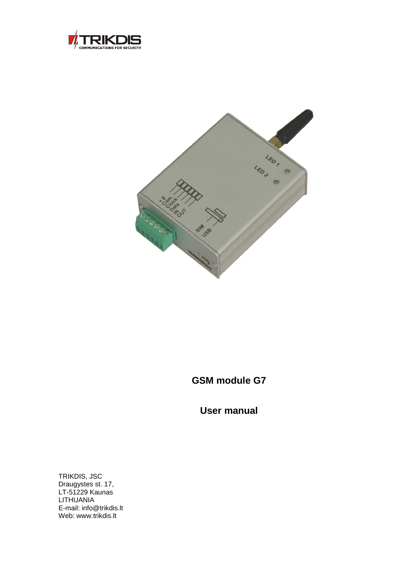



## **GSM module G7**

**User manual** 

TRIKDIS, JSC Draugystes st. 17, LT-51229 Kaunas LITHUANIA E-mail: info@trikdis.lt Web: www.trikdis.lt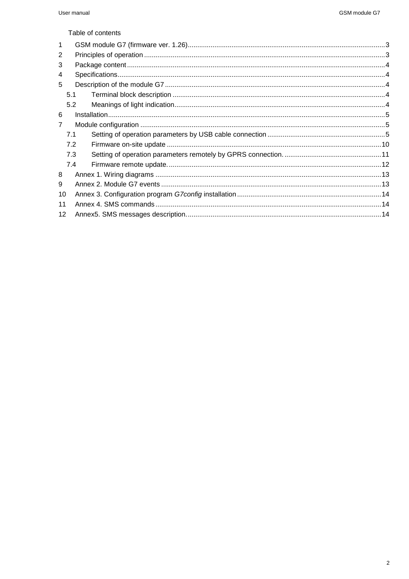Table of contents

| -1              |     |  |
|-----------------|-----|--|
| 2               |     |  |
| 3               |     |  |
| 4               |     |  |
| 5               |     |  |
|                 | 5.1 |  |
|                 | 5.2 |  |
| 6               |     |  |
|                 |     |  |
|                 | 7.1 |  |
|                 | 7.2 |  |
|                 | 7.3 |  |
|                 | 7.4 |  |
| 8               |     |  |
| 9               |     |  |
| 10              |     |  |
| 11              |     |  |
| 12 <sup>2</sup> |     |  |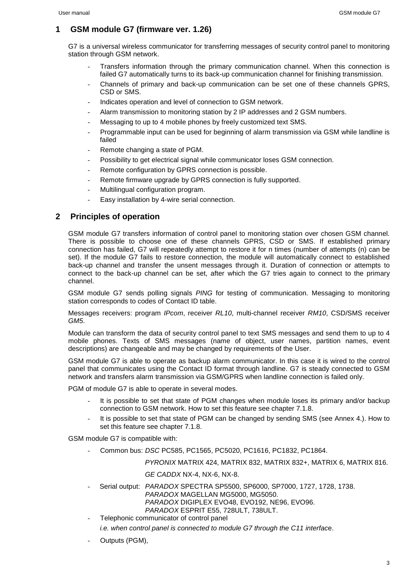#### **1 GSM module G7 (firmware ver. 1.26)**

G7 is a universal wireless communicator for transferring messages of security control panel to monitoring station through GSM network.

- Transfers information through the primary communication channel. When this connection is failed G7 automatically turns to its back-up communication channel for finishing transmission.
- Channels of primary and back-up communication can be set one of these channels GPRS, CSD or SMS.
- Indicates operation and level of connection to GSM network.
- Alarm transmission to monitoring station by 2 IP addresses and 2 GSM numbers.
- Messaging to up to 4 mobile phones by freely customized text SMS.
- Programmable input can be used for beginning of alarm transmission via GSM while landline is failed
- Remote changing a state of PGM.
- Possibility to get electrical signal while communicator loses GSM connection.
- Remote configuration by GPRS connection is possible.
- Remote firmware upgrade by GPRS connection is fully supported.
- Multilingual configuration program.
- Easy installation by 4-wire serial connection.

#### **2 Principles of operation**

GSM module G7 transfers information of control panel to monitoring station over chosen GSM channel. There is possible to choose one of these channels GPRS, CSD or SMS. If established primary connection has failed, G7 will repeatedly attempt to restore it for n times (number of attempts (n) can be set). If the module G7 fails to restore connection, the module will automatically connect to established back-up channel and transfer the unsent messages through it. Duration of connection or attempts to connect to the back-up channel can be set, after which the G7 tries again to connect to the primary channel.

GSM module G7 sends polling signals PING for testing of communication. Messaging to monitoring station corresponds to codes of Contact ID table.

Messages receivers: program IPcom, receiver RL10, multi-channel receiver RM10, CSD/SMS receiver GM5.

Module can transform the data of security control panel to text SMS messages and send them to up to 4 mobile phones. Texts of SMS messages (name of object, user names, partition names, event descriptions) are changeable and may be changed by requirements of the User.

GSM module G7 is able to operate as backup alarm communicator. In this case it is wired to the control panel that communicates using the Contact ID format through landline. G7 is steady connected to GSM network and transfers alarm transmission via GSM/GPRS when landline connection is failed only.

PGM of module G7 is able to operate in several modes.

- It is possible to set that state of PGM changes when module loses its primary and/or backup connection to GSM network. How to set this feature see chapter 7.1.8.
- It is possible to set that state of PGM can be changed by sending SMS (see Annex 4.). How to set this feature see chapter 7.1.8.

GSM module G7 is compatible with:

- Common bus: DSC PC585, PC1565, PC5020, PC1616, PC1832, PC1864.

PYRONIX MATRIX 424, MATRIX 832, MATRIX 832+, MATRIX 6, MATRIX 816.

#### GE CADDX NX-4, NX-6, NX-8.

- Serial output: PARADOX SPECTRA SP5500, SP6000, SP7000, 1727, 1728, 1738. PARADOX MAGELLAN MG5000, MG5050. PARADOX DIGIPLEX EVO48, EVO192, NE96, EVO96. PARADOX ESPRIT E55, 728ULT, 738ULT.
- Telephonic communicator of control panel
- i.e. when control panel is connected to module G7 through the C11 interface.
- Outputs (PGM),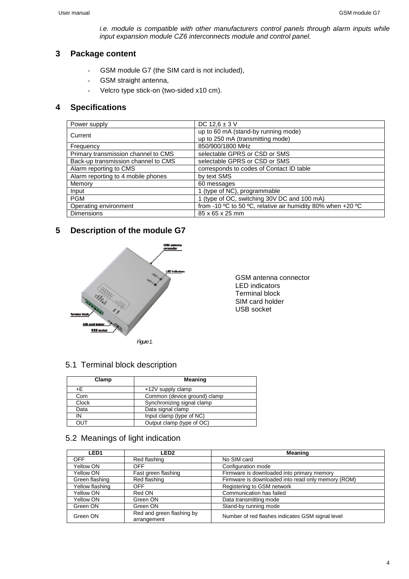i.e. module is compatible with other manufacturers control panels through alarm inputs while input expansion module CZ6 interconnects module and control panel.

## **3 Package content**

- GSM module G7 (the SIM card is not included),
- GSM straight antenna,
- Velcro type stick-on (two-sided x10 cm).

## **4 Specifications**

| Power supply                        | DC $12.6 \pm 3$ V                                           |
|-------------------------------------|-------------------------------------------------------------|
| Current                             | up to 60 mA (stand-by running mode)                         |
|                                     | up to 250 mA (transmitting mode)                            |
| Frequency                           | 850/900/1800 MHz                                            |
| Primary transmission channel to CMS | selectable GPRS or CSD or SMS                               |
| Back-up transmission channel to CMS | selectable GPRS or CSD or SMS                               |
| Alarm reporting to CMS              | corresponds to codes of Contact ID table                    |
| Alarm reporting to 4 mobile phones  | by text SMS                                                 |
| Memory                              | 60 messages                                                 |
| Input                               | 1 (type of NC), programmable                                |
| <b>PGM</b>                          | 1 (type of OC, switching 30V DC and 100 mA)                 |
| Operating environment               | from -10 °C to 50 °C, relative air humidity 80% when +20 °C |
| <b>Dimensions</b>                   | 85 x 65 x 25 mm                                             |

## **5 Description of the module G7**



GSM antenna connector LED indicators Terminal block SIM card holder USB socket

## 5.1 Terminal block description

| Clamp        | Meaning                      |
|--------------|------------------------------|
| +F.          | +12V supply clamp            |
| Com          | Common (device ground) clamp |
| <b>Clock</b> | Synchronizing signal clamp   |
| Data         | Data signal clamp            |
| IN           | Input clamp (type of NC)     |
| דטס          | Output clamp (type of OC)    |

## 5.2 Meanings of light indication

| <b>LED1</b>     | <b>LED2</b>                              | Meaning                                            |
|-----------------|------------------------------------------|----------------------------------------------------|
| <b>OFF</b>      | Red flashing                             | No SIM card                                        |
| Yellow ON       | <b>OFF</b>                               | Configuration mode                                 |
| Yellow ON       | Fast green flashing                      | Firmware is downloaded into primary memory         |
| Green flashing  | Red flashing                             | Firmware is downloaded into read only memory (ROM) |
| Yellow flashing | <b>OFF</b>                               | Registering to GSM network                         |
| Yellow ON       | Red ON                                   | Communication has failed                           |
| Yellow ON       | Green ON                                 | Data transmitting mode                             |
| Green ON        | Green ON                                 | Stand-by running mode                              |
| Green ON        | Red and green flashing by<br>arrangement | Number of red flashes indicates GSM signal level   |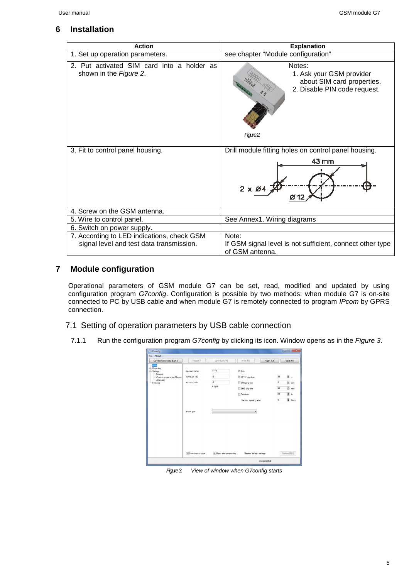## **6 Installation**

| <b>Action</b>                                                                          | <b>Explanation</b>                                                                                            |
|----------------------------------------------------------------------------------------|---------------------------------------------------------------------------------------------------------------|
| 1. Set up operation parameters.                                                        | see chapter "Module configuration"                                                                            |
| 2. Put activated SIM card into a holder as<br>shown in the Figure 2.                   | Notes:<br>1. Ask your GSM provider<br>about SIM card properties.<br>2. Disable PIN code request.<br>Figure 2. |
| 3. Fit to control panel housing.                                                       | Drill module fitting holes on control panel housing.<br>43 mm<br>$2 \times \emptyset$                         |
| 4. Screw on the GSM antenna.                                                           |                                                                                                               |
| 5. Wire to control panel.                                                              | See Annex1. Wiring diagrams                                                                                   |
| 6. Switch on power supply.                                                             |                                                                                                               |
| 7. According to LED indications, check GSM<br>signal level and test data transmission. | Note:<br>If GSM signal level is not sufficient, connect other type<br>of GSM antenna.                         |

## **7 Module configuration**

Operational parameters of GSM module G7 can be set, read, modified and updated by using configuration program G7config. Configuration is possible by two methods: when module G7 is on-site connected to PC by USB cable and when module G7 is remotely connected to program IPcom by GPRS connection.

## 7.1 Setting of operation parameters by USB cable connection

7.1.1 Run the configuration program G7config by clicking its icon. Window opens as in the Figure 3.

| G7config                                                                                                     |                                                           |                                                   |                                                                                                                                |                                                                              | $\ x\  \leq \ x\ $                   |
|--------------------------------------------------------------------------------------------------------------|-----------------------------------------------------------|---------------------------------------------------|--------------------------------------------------------------------------------------------------------------------------------|------------------------------------------------------------------------------|--------------------------------------|
| <b>Eile</b> About                                                                                            |                                                           |                                                   |                                                                                                                                |                                                                              |                                      |
| Connect/Disconnect [F2/F8]                                                                                   | Read [F7]                                                 | Open Last [F4]                                    | Write [F6]<br>Open [F3]                                                                                                        | Save [F5]                                                                    |                                      |
| Man<br><b>E</b> -Reporting<br>Settings<br>Comport<br>- Wireless programming Phones<br>- Language<br>Firmware | Account name<br>SIM Card PIN<br>Access Code<br>Panel type | FFFF<br>$\mathsf{0}$<br>$\overline{0}$<br>4 digts | $V$ Hex<br>GPRS ping time<br>CSD ping time<br>SMS ping time<br>Test time<br>Backup reporting after<br>$\overline{\phantom{a}}$ | 8、<br>30 <sup>°</sup><br>3<br>30<br>困る<br>24<br>8<br>$\overline{\mathbf{3}}$ | 高 min<br>$\circledcirc$ min<br>times |
|                                                                                                              | V Save access code                                        | Read after connection                             | Restore defaults settings                                                                                                      | Restore [F11]                                                                |                                      |
|                                                                                                              |                                                           |                                                   | Disconnected                                                                                                                   |                                                                              |                                      |

Figure 3. View of window when G7 config starts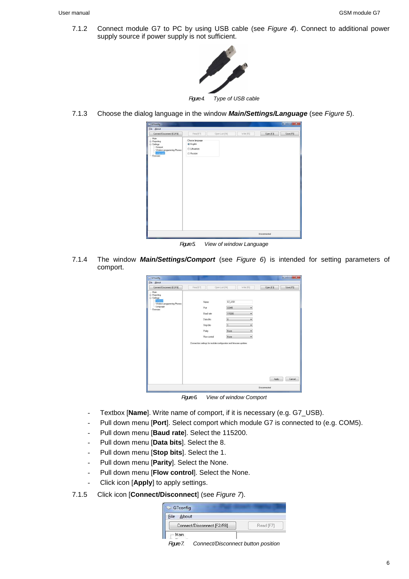7.1.2 Connect module G7 to PC by using USB cable (see Figure 4). Connect to additional power supply source if power supply is not sufficient.



Figure 4. Type of USB cable

7.1.3 Choose the dialog language in the window **Main/Settings/Language** (see Figure 5).



Figure 5. View of window Language

7.1.4 The window **Main/Settings/Comport** (see Figure 6) is intended for setting parameters of comport.

|                                                                                                                   |                                                                                                                                                    |                                                                                                                      |              | $\mathbf{x}$<br><b>INCONSULTANI</b> |
|-------------------------------------------------------------------------------------------------------------------|----------------------------------------------------------------------------------------------------------------------------------------------------|----------------------------------------------------------------------------------------------------------------------|--------------|-------------------------------------|
| <b>File About</b><br>Connect/Disconnect [F2/F8]                                                                   | Read [F7]                                                                                                                                          | Write [F6]<br>Open Last [F4]                                                                                         | Open [F3]    | Save [F5]                           |
| - Main<br><b>E</b> -Reporting<br>Settings<br>Comport<br>- Wireless programming Phones<br>- Language<br>- Firmware | Name.<br>Pot<br>Baud rate<br>Data bits<br>Stop bits<br>Parity<br>Flow control<br>Connection settings for module configuration and firmware updates | G7_USB<br>COM5<br>۰<br>115200<br>۰<br>$\overline{\phantom{a}}$<br>۰<br>$\overline{a}$<br>۰<br>None<br>۰<br>None<br>۰ | Apply        | Cancel                              |
|                                                                                                                   |                                                                                                                                                    |                                                                                                                      | Disconnected |                                     |

Figure 6. View of window Comport

- Textbox [Name]. Write name of comport, if it is necessary (e.g. G7\_USB).
- Pull down menu [Port]. Select comport which module G7 is connected to (e.g. COM5).
- Pull down menu [**Baud rate**]. Select the 115200.
- Pull down menu [**Data bits**]. Select the 8.
- Pull down menu [**Stop bits**]. Select the 1.
- Pull down menu [**Parity**]. Select the None.
- Pull down menu [**Flow control**]. Select the None.
- Click icon [**Apply**] to apply settings.
- 7.1.5 Click icon [**Connect/Disconnect**] (see Figure 7).

| About<br>File              |           |
|----------------------------|-----------|
| Connect/Disconnect [F2/F8] | Read [F7] |
| Main                       |           |

Figure 7. Connect/Disconnect button position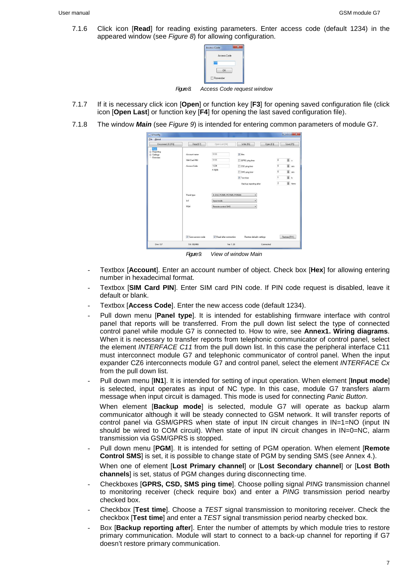7.1.6 Click icon [**Read**] for reading existing parameters. Enter access code (default 1234) in the appeared window (see Figure 8) for allowing configuration.



Faure 8. Access Code request window

- 7.1.7 If it is necessary click icon [**Open**] or function key [**F3**] for opening saved configuration file (click icon [**Open Last**] or function key [**F4**] for opening the last saved configuration file).
- 7.1.8 The window **Main** (see Figure 9) is intended for entering common parameters of module G7.

| Disconnect [F2/F8]                                             | Read [F7]                                   | Open Last (F4)                             | Write [F6]<br>Open [F3]                                                    | Save [F5]                                                                                            |
|----------------------------------------------------------------|---------------------------------------------|--------------------------------------------|----------------------------------------------------------------------------|------------------------------------------------------------------------------------------------------|
| Man<br><b>E</b> -Reporting<br><b>G</b> -Settings<br>- Firmware | Account name<br>SIM Card PIN<br>Access Code | 1111<br>1111<br>1234<br>4 digits           | $V$ Hex<br>GPRS ping time<br>CSD ping time<br>SMS ping time<br>V Test time | $\circledast$<br>$\bf 0$<br>高 min<br>$\overline{0}$<br>$\overline{5}$ min<br>$\bf 0$<br>固片<br>$\,$ 1 |
|                                                                | Panel type<br>In1                           | 4. DSC PC585, PC1565, PC5020<br>Input mode | Backup reporting after<br>۰<br>$\check{}$                                  | S times<br>$\overline{2}$                                                                            |
|                                                                | PGM                                         | Remote control SMS                         | ۰                                                                          |                                                                                                      |
|                                                                | V Save access code                          | V Read after connection                    | Restore defaults settings                                                  | Restore [F11]                                                                                        |

Figure 9. View of window Main

- Textbox [**Account**]. Enter an account number of object. Check box [**Hex**] for allowing entering number in hexadecimal format.
- Textbox [SIM Card PIN]. Enter SIM card PIN code. If PIN code request is disabled, leave it default or blank.
- Textbox [Access Code]. Enter the new access code (default 1234).
- Pull down menu [**Panel type**]. It is intended for establishing firmware interface with control panel that reports will be transferred. From the pull down list select the type of connected control panel while module G7 is connected to. How to wire, see **Annex1. Wiring diagrams**. When it is necessary to transfer reports from telephonic communicator of control panel, select the element INTERFACE C11 from the pull down list. In this case the peripheral interface C11 must interconnect module G7 and telephonic communicator of control panel. When the input expander CZ6 interconnects module G7 and control panel, select the element INTERFACE Cx from the pull down list.
- Pull down menu [**IN1**]. It is intended for setting of input operation. When element [**Input mode**] is selected, input operates as input of NC type. In this case, module G7 transfers alarm message when input circuit is damaged. This mode is used for connecting Panic Button. When element [**Backup mode**] is selected, module G7 will operate as backup alarm communicator although it will be steady connected to GSM network. It will transfer reports of control panel via GSM/GPRS when state of input IN circuit changes in IN=1=NO (input IN should be wired to COM circuit). When state of input IN circuit changes in IN=0=NC, alarm transmission via GSM/GPRS is stopped.
- Pull down menu [**PGM**]. It is intended for setting of PGM operation. When element [**Remote Control SMS**] is set, it is possible to change state of PGM by sending SMS (see Annex 4.).

When one of element [**Lost Primary channel**] or [**Lost Secondary channel**] or [**Lost Both channels**] is set, status of PGM changes during disconnecting time.

- Checkboxes [**GPRS, CSD, SMS ping time**]. Choose polling signal PING transmission channel to monitoring receiver (check require box) and enter a PING transmission period nearby checked box.
- Checkbox [**Test time**]. Choose a TEST signal transmission to monitoring receiver. Check the checkbox [**Test time**] and enter a TEST signal transmission period nearby checked box.
- Box [**Backup reporting after**]. Enter the number of attempts by which module tries to restore primary communication. Module will start to connect to a back-up channel for reporting if G7 doesn't restore primary communication.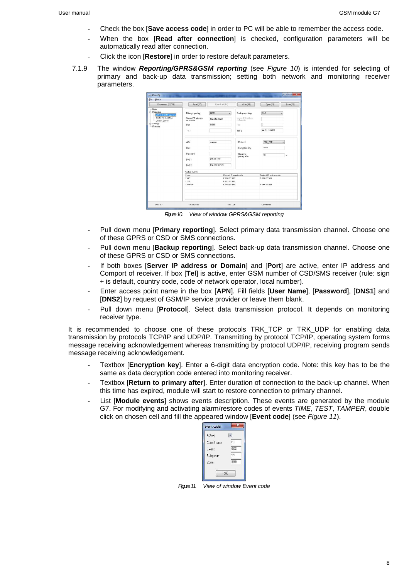- Check the box [**Save access code**] in order to PC will be able to remember the access code.
- When the box [**Read after connection**] is checked, configuration parameters will be automatically read after connection.
- Click the icon [**Restore**] in order to restore default parameters.
- 7.1.9 The window **Reporting/GPRS&GSM reporting** (see Figure 10) is intended for selecting of primary and back-up data transmission; setting both network and monitoring receiver parameters.

| Eile<br>About                                          |                                 |                              |                                 |                         |           |
|--------------------------------------------------------|---------------------------------|------------------------------|---------------------------------|-------------------------|-----------|
| Disconnect (F2/F8)                                     | Read [F7]                       | Doen Last [F4]               | Write [F6]                      | Open [F3]               | Save [F5] |
| - Main                                                 |                                 |                              |                                 |                         |           |
| <b>E</b> -Reporting<br><b>GPRS &amp; GSM reporting</b> | Primary reporting               | <b>GPRS</b><br>٠             | Backup reporting                | SMS                     | ۰         |
| Text SMS reporting<br>Users & Zones                    | Server IP1 address<br>or Domain | 192.240.28.23                | Server IP2 address<br>or Domain |                         |           |
| <b>B</b> -Settings<br>- Firmware                       | Port                            | 11000                        | Pott                            | 'n                      |           |
|                                                        | Tel.1                           |                              | Tel2                            | 441511234567            |           |
|                                                        | APN                             | oranger                      | Protocol                        | TRK TCP                 |           |
|                                                        | User                            |                              | Encryption key                  |                         |           |
|                                                        | Password                        |                              |                                 |                         |           |
|                                                        |                                 |                              | Return to<br>primary after      | 90                      | s.        |
|                                                        | DNS1                            | 195.22.175.1                 |                                 |                         |           |
|                                                        | DNS2                            | 194.176.32.129               |                                 |                         |           |
|                                                        | Module events                   |                              |                                 |                         |           |
|                                                        | Event                           |                              | Contact ID event code           | Contact ID restore code |           |
|                                                        | TIME<br><b>TEST</b>             | E 700 99 999<br>F 602.99.999 |                                 | R 700 99 999            |           |
|                                                        | <b>TAMPER</b>                   | E 144 99 999                 |                                 | R 144 99 999            |           |
|                                                        |                                 |                              |                                 |                         |           |
| Dev: GZ                                                | SN: 002466                      |                              | Var 1.26                        | Connected               |           |

Figure 10. View of window GPRS&GSM reporting

- Pull down menu [**Primary reporting**]. Select primary data transmission channel. Choose one of these GPRS or CSD or SMS connections.
- Pull down menu [**Backup reporting**]. Select back-up data transmission channel. Choose one of these GPRS or CSD or SMS connections.
- If both boxes [**Server IP address or Domain**] and [**Port**] are active, enter IP address and Comport of receiver. If box [**Tel**] is active, enter GSM number of CSD/SMS receiver (rule: sign + is default, country code, code of network operator, local number).
- Enter access point name in the box [**APN**]. Fill fields [**User Name**], [**Password**], [**DNS1**] and [**DNS2**] by request of GSM/IP service provider or leave them blank.
- Pull down menu [**Protocol**]. Select data transmission protocol. It depends on monitoring receiver type.

It is recommended to choose one of these protocols TRK TCP or TRK UDP for enabling data transmission by protocols TCP/IP and UDP/IP. Transmitting by protocol TCP/IP, operating system forms message receiving acknowledgement whereas transmitting by protocol UDP/IP, receiving program sends message receiving acknowledgement.

- Textbox [**Encryption key**]. Enter a 6-digit data encryption code. Note: this key has to be the same as data decryption code entered into monitoring receiver.
- Textbox [**Return to primary after**]. Enter duration of connection to the back-up channel. When this time has expired, module will start to restore connection to primary channel.
- List [Module events] shows events description. These events are generated by the module G7. For modifying and activating alarm/restore codes of events TIME, TEST, TAMPER, double click on chosen cell and fill the appeared window [**Event code**] (see Figure 11).

| Active        |     |
|---------------|-----|
| Classificator | E   |
| Event         | 602 |
| Subgroup      | 99  |
| Zone          | 999 |

Fraure 11. View of window Event code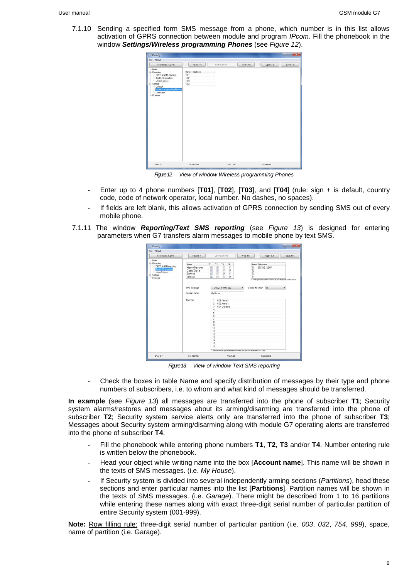7.1.10 Sending a specified form SMS message from a phone, which number is in this list allows activation of GPRS connection between module and program IPcom. Fill the phonebook in the window **Settings/Wireless programming Phones** (see Figure 12).

| G7config                                                                                                                                                                            |                                            |                              |           | <u>income and in the second</u> |
|-------------------------------------------------------------------------------------------------------------------------------------------------------------------------------------|--------------------------------------------|------------------------------|-----------|---------------------------------|
| <b>File About</b>                                                                                                                                                                   |                                            |                              |           |                                 |
| Disconnect [F2/F8]                                                                                                                                                                  | Read [F7]                                  | Write [F6]<br>Open Last [F4] | Open [F3] | Save [F5]                       |
| - Main<br>- Reporting<br>GPRS & GSM reporting<br>- Text SMS reporting<br>- Users & Zones<br>G-Settings<br>Comport<br><b>Wireless programming Phones</b><br>- Language<br>- Firmware | Name Telephone<br>T01<br>T02<br>T03<br>T04 |                              |           |                                 |
| Dev: G7                                                                                                                                                                             | SN: 002466                                 | Ver. 1.26                    | Connected |                                 |

Figure 12. View of window Wireless programming Phones

- Enter up to 4 phone numbers [**T01**], [**T02**], [**T03**], and [**T04**] (rule: sign + is default, country code, code of network operator, local number. No dashes, no spaces).
- If fields are left blank, this allows activation of GPRS connection by sending SMS out of every mobile phone.
- 7.1.11 The window **Reporting/Text SMS reporting** (see Figure 13) is designed for entering parameters when G7 transfers alarm messages to mobile phone by text SMS.

| File About                                                                                                                   |                                                                                                        |                                                                                                                                                                                                                                                                                                                                                                                                                                                                                                                 |                                                               |                                                                                                |              |
|------------------------------------------------------------------------------------------------------------------------------|--------------------------------------------------------------------------------------------------------|-----------------------------------------------------------------------------------------------------------------------------------------------------------------------------------------------------------------------------------------------------------------------------------------------------------------------------------------------------------------------------------------------------------------------------------------------------------------------------------------------------------------|---------------------------------------------------------------|------------------------------------------------------------------------------------------------|--------------|
| Disconnect (F2/F8)                                                                                                           | Read (F7)                                                                                              | Open Last (F4)                                                                                                                                                                                                                                                                                                                                                                                                                                                                                                  | Write [F6]                                                    | Open (F3)                                                                                      | Save [F5]    |
| - Main<br>- Reporting<br>GPRS & GSM reporting<br>Text SMS reporting<br>$-$ Haera & Zonea<br><b>B</b> -Settings<br>- Firmweek | Name<br>Alorm/Restore<br>Open/Close<br>Service<br>Module<br>SMS language<br>Account name<br>Partitions | T1<br>T <sub>2</sub><br>T3<br>T4<br>$\sqrt{2}$<br>$\overline{\mathbf{v}}$<br>O<br>E<br>$\frac{1}{2}$<br>$\overline{\phantom{0}}$<br>$\frac{1}{2}$<br>$\mathcal Q$<br>E<br><b>V</b><br>m<br>$\overline{\mathcal{L}}$<br>m<br>1. ENGLISH WIN1252<br>My House<br>001 Area 1<br>$\overline{2}$<br>002 Area 2<br>3<br>054 Gorage<br>4<br>5<br>6<br>$\overline{\phantom{a}}$<br>8<br>$\overline{9}$<br>10<br>11<br>12<br>13<br>14<br>15<br>16<br>* There must be space between number and text. for example: 123 Text | T1<br>T <sub>2</sub><br>T3<br>T4<br>Send SMS which<br>$\star$ | Name Telephone<br>37061912345<br>* Enter phone number without '+', for example 3706721111<br>A | $\checkmark$ |
| Dev: G7                                                                                                                      | SN: 002466                                                                                             | Ver 1.26                                                                                                                                                                                                                                                                                                                                                                                                                                                                                                        |                                                               | Connected                                                                                      |              |

Figure 13 View of window Text SMS reporting

Check the boxes in table Name and specify distribution of messages by their type and phone numbers of subscribers, i.e. to whom and what kind of messages should be transferred.

**In example** (see Figure 13) all messages are transferred into the phone of subscriber **T1**; Security system alarms/restores and messages about its arming/disarming are transferred into the phone of subscriber **T2**; Security system service alerts only are transferred into the phone of subscriber **T3**; Messages about Security system arming/disarming along with module G7 operating alerts are transferred into the phone of subscriber **T4**.

- Fill the phonebook while entering phone numbers **T1**, **T2**, **T3** and/or **T4**. Number entering rule is written below the phonebook.
- Head your object while writing name into the box [**Account name**]. This name will be shown in the texts of SMS messages. (i.e. My House).
- If Security system is divided into several independently arming sections (Partitions), head these sections and enter particular names into the list [**Partitions**]. Partition names will be shown in the texts of SMS messages. (i.e. Garage). There might be described from 1 to 16 partitions while entering these names along with exact three-digit serial number of particular partition of entire Security system (001-999).

**Note:** Row filling rule: three-digit serial number of particular partition (i.e. 003, 032, 754, 999), space, name of partition (i.e. Garage).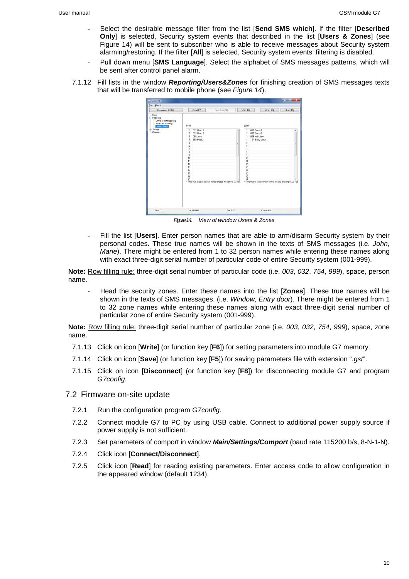- Select the desirable message filter from the list [**Send SMS which**]. If the filter [**Described Only**] is selected, Security system events that described in the list [**Users & Zones**] (see Figure 14) will be sent to subscriber who is able to receive messages about Security system alarming/restoring. If the filter [**All**] is selected, Security system events' filtering is disabled.
- Pull down menu [**SMS Language**]. Select the alphabet of SMS messages patterns, which will be sent after control panel alarm.
- 7.1.12 Fill lists in the window **Reporting/Users&Zones** for finishing creation of SMS messages texts that will be transferred to mobile phone (see Figure 14).

| <b>File About</b><br>Disconnect (F2/F8)                                                                                | Read [F7]                                                                                                                                                                                                                                       | Open Last [F4]<br>Write [F6]                                                   | Open (F3)                                                                                                                                                                                                                                                                                                        | Save [F5] |
|------------------------------------------------------------------------------------------------------------------------|-------------------------------------------------------------------------------------------------------------------------------------------------------------------------------------------------------------------------------------------------|--------------------------------------------------------------------------------|------------------------------------------------------------------------------------------------------------------------------------------------------------------------------------------------------------------------------------------------------------------------------------------------------------------|-----------|
|                                                                                                                        |                                                                                                                                                                                                                                                 |                                                                                |                                                                                                                                                                                                                                                                                                                  |           |
| - Main<br>- Reporting<br>- GPRS & GSM reporting<br>- Text SMS reporting<br>Users & Zones<br>(iii) Settings<br>Firmware | Users<br>001 User 1<br>$\mathbf{1}$<br>$\overline{c}$<br>002 User 2<br>056 John<br>3<br>259 Marie<br>4<br>5<br>$\boldsymbol{6}$<br>$\overline{\mathcal{L}}$<br>$\overline{8}$<br>$\overline{9}$<br>10<br>11<br>12<br>13<br>14<br>15<br>16<br>17 | ٠<br>踩<br>* There must be space between number and text, for example: 123 Text | Zones<br>001 Zone 1<br>٦<br>$\overline{c}$<br>002 Zone 2<br>$\overline{3}$<br>026 Window<br>124 Entry door<br>4<br>5<br>$\ddot{\theta}$<br>$\overline{\phantom{a}}$<br>8<br>$\mathbf{q}$<br>10<br>11<br>12<br>13<br>14<br>15<br>16<br>17<br>* There must be space between number and text, for example: 123 Text |           |
| Dev: G7                                                                                                                | SN: 002466                                                                                                                                                                                                                                      | Ver 1.26                                                                       | Connected                                                                                                                                                                                                                                                                                                        |           |

Figure 14. View of window Users & Zones

- Fill the list [**Users**]. Enter person names that are able to arm/disarm Security system by their personal codes. These true names will be shown in the texts of SMS messages (i.e. John, Marie). There might be entered from 1 to 32 person names while entering these names along with exact three-digit serial number of particular code of entire Security system (001-999).

**Note:** Row filling rule: three-digit serial number of particular code (i.e. 003, 032, 754, 999), space, person name.

- Head the security zones. Enter these names into the list [**Zones**]. These true names will be shown in the texts of SMS messages. (i.e. Window, Entry door). There might be entered from 1 to 32 zone names while entering these names along with exact three-digit serial number of particular zone of entire Security system (001-999).

**Note:** Row filling rule: three-digit serial number of particular zone (i.e. 003, 032, 754, 999), space, zone name.

- 7.1.13 Click on icon [**Write**] (or function key [**F6**]) for setting parameters into module G7 memory.
- 7.1.14 Click on icon [**Save**] (or function key [**F5**]) for saving parameters file with extension ".gst".
- 7.1.15 Click on icon [**Disconnect**] (or function key [**F8**]) for disconnecting module G7 and program G7config.
- 7.2 Firmware on-site update
	- 7.2.1 Run the configuration program G7config.
	- 7.2.2 Connect module G7 to PC by using USB cable. Connect to additional power supply source if power supply is not sufficient.
	- 7.2.3 Set parameters of comport in window **Main/Settings/Comport** (baud rate 115200 b/s, 8-N-1-N).
	- 7.2.4 Click icon [**Connect/Disconnect**].
	- 7.2.5 Click icon [**Read**] for reading existing parameters. Enter access code to allow configuration in the appeared window (default 1234).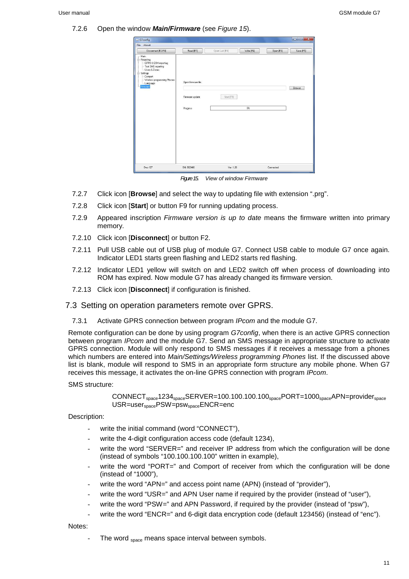#### 7.2.6 Open the window **Main/Firmware** (see Figure 15).

| File About                                                                                                                                                                 |                                                   |                |            |           |           |
|----------------------------------------------------------------------------------------------------------------------------------------------------------------------------|---------------------------------------------------|----------------|------------|-----------|-----------|
| Disconnect [F2/F8]                                                                                                                                                         | Read [F7]                                         | Open Last [F4] | Write [F6] | Open [F3] | Save [F5] |
| - Main<br>E-Reporting<br>- GPRS & GSM reporting<br>- Text SMS reporting<br>Users & Zones<br>Settings<br>Comport<br>- Wireless programming Phones<br>- Language<br>Firmware | Open firmware file<br>Firmware update<br>Progress | Start [F9]     | $0\%$      |           | Browse    |
| Dev: G7                                                                                                                                                                    | SN: 002466                                        | Ver: 1.26      |            | Connected |           |

Figure 15. View of window Firmware

- 7.2.7 Click icon [**Browse**] and select the way to updating file with extension ".prg".
- 7.2.8 Click icon [**Start**] or button F9 for running updating process.
- 7.2.9 Appeared inscription *Firmware version is up to date* means the firmware written into primary memory.
- 7.2.10 Click icon [**Disconnect**] or button F2.
- 7.2.11 Pull USB cable out of USB plug of module G7. Connect USB cable to module G7 once again. Indicator LED1 starts green flashing and LED2 starts red flashing.
- 7.2.12 Indicator LED1 yellow will switch on and LED2 switch off when process of downloading into ROM has expired. Now module G7 has already changed its firmware version.
- 7.2.13 Click icon [**Disconnect**] if configuration is finished.

#### 7.3 Setting on operation parameters remote over GPRS.

7.3.1 Activate GPRS connection between program IPcom and the module G7.

Remote configuration can be done by using program G7config, when there is an active GPRS connection between program IPcom and the module G7. Send an SMS message in appropriate structure to activate GPRS connection. Module will only respond to SMS messages if it receives a message from a phones which numbers are entered into Main/Settings/Wireless programming Phones list. If the discussed above list is blank, module will respond to SMS in an appropriate form structure any mobile phone. When G7 receives this message, it activates the on-line GPRS connection with program IPcom.

#### SMS structure:

```
CONNECT<sub>space</sub>1234<sub>space</sub>SERVER=100.100.100.100<sub>space</sub>PORT=1000<sub>space</sub>APN=provider<sub>space</sub>
USR=user<sub>space</sub>PSW=psw<sub>space</sub>ENCR=enc
```
#### Description:

- write the initial command (word "CONNECT"),
- write the 4-digit configuration access code (default 1234),
- write the word "SERVER=" and receiver IP address from which the configuration will be done (instead of symbols "100.100.100.100" written in example),
- write the word "PORT=" and Comport of receiver from which the configuration will be done (instead of "1000"),
- write the word "APN=" and access point name (APN) (instead of "provider"),
- write the word "USR=" and APN User name if required by the provider (instead of "user").
- write the word "PSW=" and APN Password, if required by the provider (instead of "psw"),
- write the word "ENCR=" and 6-digit data encryption code (default 123456) (instead of "enc").

#### Notes:

The word space means space interval between symbols.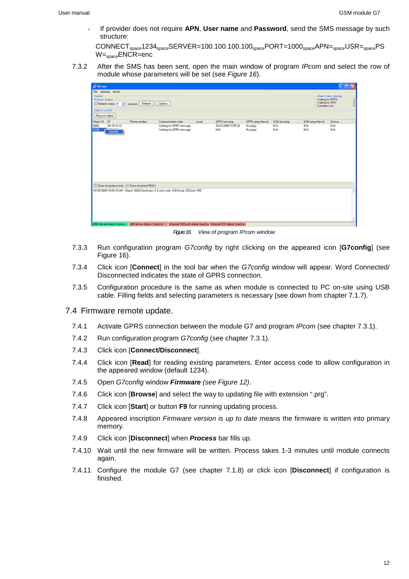- If provider does not require **APN**, **User name** and **Password**, send the SMS message by such structure:

 $COMNECT_{space}$ 1234 $_{space}$ SERVER=100.100.100.100 $_{space}$ PORT=1000 $_{space}$ APN= $_{space}$ USR= $_{space}$ PS W=spaceENCR=enc

7.3.2 After the SMS has been sent, open the main window of program IPcom and select the row of module whose parameters will be set (see Figure 16).



Figure 16. View of program IPcom window

- 7.3.3 Run configuration program G7config by right clicking on the appeared icon [**G7config**] (see Figure 16).
- 7.3.4 Click icon [**Connect**] in the tool bar when the G7config window will appear. Word Connected/ Disconnected indicates the state of GPRS connection.
- 7.3.5 Configuration procedure is the same as when module is connected to PC on-site using USB cable. Filling fields and selecting parameters is necessary (see down from chapter 7.1.7).

#### 7.4 Firmware remote update.

- 7.4.1 Activate GPRS connection between the module G7 and program IPcom (see chapter 7.3.1).
- 7.4.2 Run configuration program G7config (see chapter 7.3.1).
- 7.4.3 Click icon [**Connect/Disconnect**].
- 7.4.4 Click icon [**Read**] for reading existing parameters. Enter access code to allow configuration in the appeared window (default 1234).
- 7.4.5 Open G7config window **Firmware** (see Figure 12).
- 7.4.6 Click icon [**Browse**] and select the way to updating file with extension ".prg".
- 7.4.7 Click icon [**Start**] or button **F9** for running updating process.
- 7.4.8 Appeared inscription Firmware version is up to date means the firmware is written into primary memory.
- 7.4.9 Click icon [**Disconnect**] when **Process** bar fills up.
- 7.4.10 Wait until the new firmware will be written. Process takes 1-3 minutes until module connects again.
- 7.4.11 Configure the module G7 (see chapter 7.1.8) or click icon [**Disconnect**] if configuration is finished.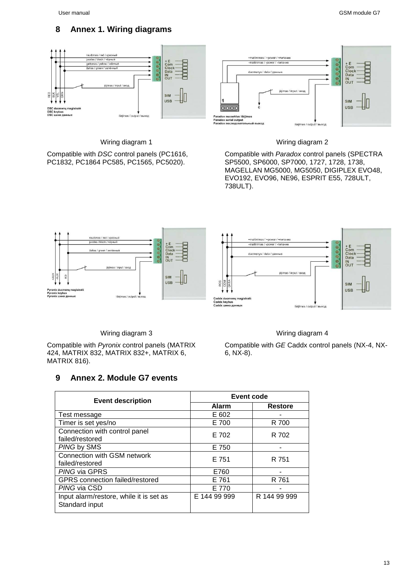## **8 Annex 1. Wiring diagrams**



Wiring diagram 1

Compatible with DSC control panels (PC1616, PC1832, PC1864 PC585, PC1565, PC5020).



Compatible with Paradox control panels (SPECTRA SP5500, SP6000, SP7000, 1727, 1728, 1738, MAGELLAN MG5000, MG5050, DIGIPLEX EVO48, EVO192, EVO96, NE96, ESPRIT E55, 728ULT, 738ULT).



Wiring diagram 3

Compatible with Pyronix control panels (MATRIX 424, MATRIX 832, MATRIX 832+, MATRIX 6, MATRIX 816).

# **9 Annex 2. Module G7 events**

#### **Event description**<br> **Event code**<br> **Alarm Alarm Restore** Test message E 602 Timer is set yes/no **E 700** R 700 Connection with control panel Failed/restored E 702 R 702 PING by SMS E 750 F Connection with GSM network Failed/restored E 751 R 751 PING via GPRS E760 GPRS connection failed/restored E 761 R 761 PING via CSD E 770 Input alarm/restore, while it is set as Standard input E 144 99 999 R 144 99 999

#### Wiring diagram 4

Compatible with GE Caddx control panels (NX-4, NX-6, NX-8).